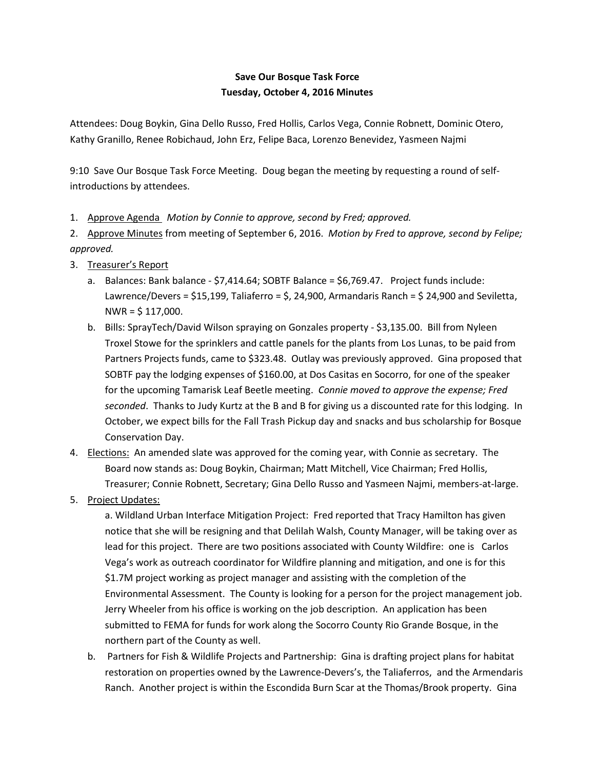## **Save Our Bosque Task Force Tuesday, October 4, 2016 Minutes**

Attendees: Doug Boykin, Gina Dello Russo, Fred Hollis, Carlos Vega, Connie Robnett, Dominic Otero, Kathy Granillo, Renee Robichaud, John Erz, Felipe Baca, Lorenzo Benevidez, Yasmeen Najmi

9:10 Save Our Bosque Task Force Meeting. Doug began the meeting by requesting a round of selfintroductions by attendees.

1. Approve Agenda *Motion by Connie to approve, second by Fred; approved.*

2. Approve Minutes from meeting of September 6, 2016. *Motion by Fred to approve, second by Felipe; approved.*

- 3. Treasurer's Report
	- a. Balances: Bank balance \$7,414.64; SOBTF Balance = \$6,769.47. Project funds include: Lawrence/Devers = \$15,199, Taliaferro = \$, 24,900, Armandaris Ranch = \$ 24,900 and Seviletta,  $NWR = $ 117,000.$
	- b. Bills: SprayTech/David Wilson spraying on Gonzales property \$3,135.00. Bill from Nyleen Troxel Stowe for the sprinklers and cattle panels for the plants from Los Lunas, to be paid from Partners Projects funds, came to \$323.48. Outlay was previously approved. Gina proposed that SOBTF pay the lodging expenses of \$160.00, at Dos Casitas en Socorro, for one of the speaker for the upcoming Tamarisk Leaf Beetle meeting. *Connie moved to approve the expense; Fred seconded*. Thanks to Judy Kurtz at the B and B for giving us a discounted rate for this lodging. In October, we expect bills for the Fall Trash Pickup day and snacks and bus scholarship for Bosque Conservation Day.
- 4. Elections: An amended slate was approved for the coming year, with Connie as secretary. The Board now stands as: Doug Boykin, Chairman; Matt Mitchell, Vice Chairman; Fred Hollis, Treasurer; Connie Robnett, Secretary; Gina Dello Russo and Yasmeen Najmi, members-at-large.
- 5. Project Updates:

a. Wildland Urban Interface Mitigation Project: Fred reported that Tracy Hamilton has given notice that she will be resigning and that Delilah Walsh, County Manager, will be taking over as lead for this project. There are two positions associated with County Wildfire: one is Carlos Vega's work as outreach coordinator for Wildfire planning and mitigation, and one is for this \$1.7M project working as project manager and assisting with the completion of the Environmental Assessment. The County is looking for a person for the project management job. Jerry Wheeler from his office is working on the job description.An application has been submitted to FEMA for funds for work along the Socorro County Rio Grande Bosque, in the northern part of the County as well.

b. Partners for Fish & Wildlife Projects and Partnership: Gina is drafting project plans for habitat restoration on properties owned by the Lawrence-Devers's, the Taliaferros, and the Armendaris Ranch. Another project is within the Escondida Burn Scar at the Thomas/Brook property. Gina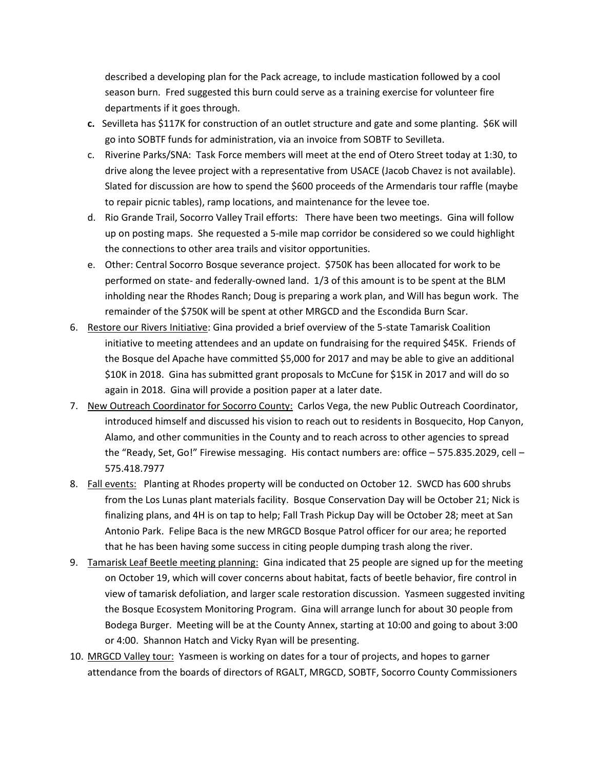described a developing plan for the Pack acreage, to include mastication followed by a cool season burn. Fred suggested this burn could serve as a training exercise for volunteer fire departments if it goes through.

- **c.** Sevilleta has \$117K for construction of an outlet structure and gate and some planting. \$6K will go into SOBTF funds for administration, via an invoice from SOBTF to Sevilleta.
- c. Riverine Parks/SNA: Task Force members will meet at the end of Otero Street today at 1:30, to drive along the levee project with a representative from USACE (Jacob Chavez is not available). Slated for discussion are how to spend the \$600 proceeds of the Armendaris tour raffle (maybe to repair picnic tables), ramp locations, and maintenance for the levee toe.
- d. Rio Grande Trail, Socorro Valley Trail efforts: There have been two meetings. Gina will follow up on posting maps. She requested a 5-mile map corridor be considered so we could highlight the connections to other area trails and visitor opportunities.
- e. Other: Central Socorro Bosque severance project. \$750K has been allocated for work to be performed on state- and federally-owned land. 1/3 of this amount is to be spent at the BLM inholding near the Rhodes Ranch; Doug is preparing a work plan, and Will has begun work. The remainder of the \$750K will be spent at other MRGCD and the Escondida Burn Scar.
- 6. Restore our Rivers Initiative: Gina provided a brief overview of the 5-state Tamarisk Coalition initiative to meeting attendees and an update on fundraising for the required \$45K. Friends of the Bosque del Apache have committed \$5,000 for 2017 and may be able to give an additional \$10K in 2018. Gina has submitted grant proposals to McCune for \$15K in 2017 and will do so again in 2018. Gina will provide a position paper at a later date.
- 7. New Outreach Coordinator for Socorro County: Carlos Vega, the new Public Outreach Coordinator, introduced himself and discussed his vision to reach out to residents in Bosquecito, Hop Canyon, Alamo, and other communities in the County and to reach across to other agencies to spread the "Ready, Set, Go!" Firewise messaging. His contact numbers are: office – 575.835.2029, cell – 575.418.7977
- 8. Fall events: Planting at Rhodes property will be conducted on October 12. SWCD has 600 shrubs from the Los Lunas plant materials facility. Bosque Conservation Day will be October 21; Nick is finalizing plans, and 4H is on tap to help; Fall Trash Pickup Day will be October 28; meet at San Antonio Park. Felipe Baca is the new MRGCD Bosque Patrol officer for our area; he reported that he has been having some success in citing people dumping trash along the river.
- 9. Tamarisk Leaf Beetle meeting planning: Gina indicated that 25 people are signed up for the meeting on October 19, which will cover concerns about habitat, facts of beetle behavior, fire control in view of tamarisk defoliation, and larger scale restoration discussion. Yasmeen suggested inviting the Bosque Ecosystem Monitoring Program. Gina will arrange lunch for about 30 people from Bodega Burger. Meeting will be at the County Annex, starting at 10:00 and going to about 3:00 or 4:00. Shannon Hatch and Vicky Ryan will be presenting.
- 10. MRGCD Valley tour: Yasmeen is working on dates for a tour of projects, and hopes to garner attendance from the boards of directors of RGALT, MRGCD, SOBTF, Socorro County Commissioners